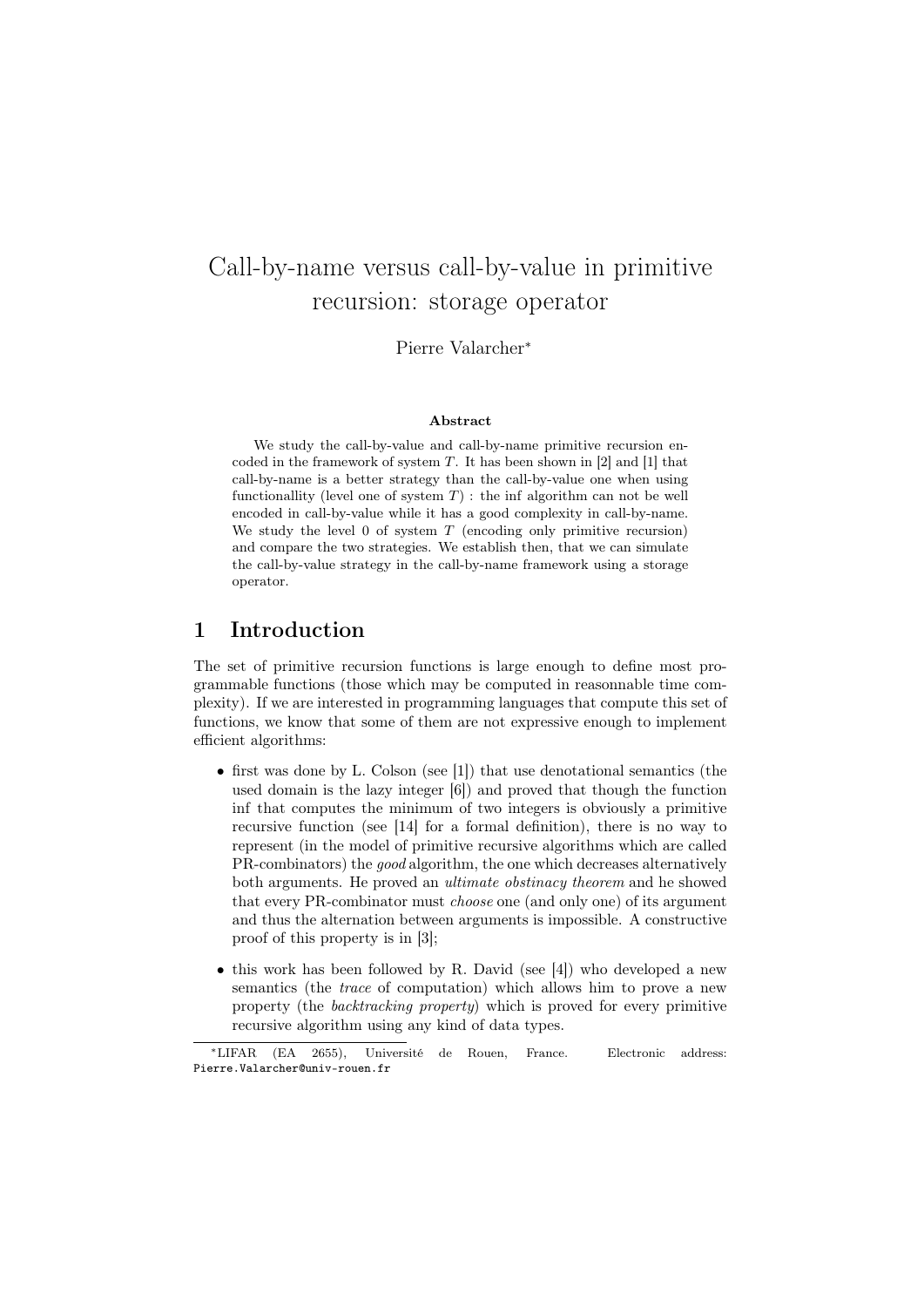# Call-by-name versus call-by-value in primitive recursion: storage operator

Pierre Valarcher<sup>∗</sup>

#### Abstract

We study the call-by-value and call-by-name primitive recursion encoded in the framework of system  $T$ . It has been shown in [2] and [1] that call-by-name is a better strategy than the call-by-value one when using functionallity (level one of system  $T$ ) : the inf algorithm can not be well encoded in call-by-value while it has a good complexity in call-by-name. We study the level  $0$  of system  $T$  (encoding only primitive recursion) and compare the two strategies. We establish then, that we can simulate the call-by-value strategy in the call-by-name framework using a storage operator.

### 1 Introduction

The set of primitive recursion functions is large enough to define most programmable functions (those which may be computed in reasonnable time complexity). If we are interested in programming languages that compute this set of functions, we know that some of them are not expressive enough to implement efficient algorithms:

- first was done by L. Colson (see [1]) that use denotational semantics (the used domain is the lazy integer [6]) and proved that though the function inf that computes the minimum of two integers is obviously a primitive recursive function (see [14] for a formal definition), there is no way to represent (in the model of primitive recursive algorithms which are called PR-combinators) the good algorithm, the one which decreases alternatively both arguments. He proved an ultimate obstinacy theorem and he showed that every PR-combinator must choose one (and only one) of its argument and thus the alternation between arguments is impossible. A constructive proof of this property is in [3];
- this work has been followed by R. David (see [4]) who developed a new semantics (the trace of computation) which allows him to prove a new property (the backtracking property) which is proved for every primitive recursive algorithm using any kind of data types.

<sup>∗</sup>LIFAR (EA 2655), Université de Rouen, France. Electronic address: Pierre.Valarcher@univ-rouen.fr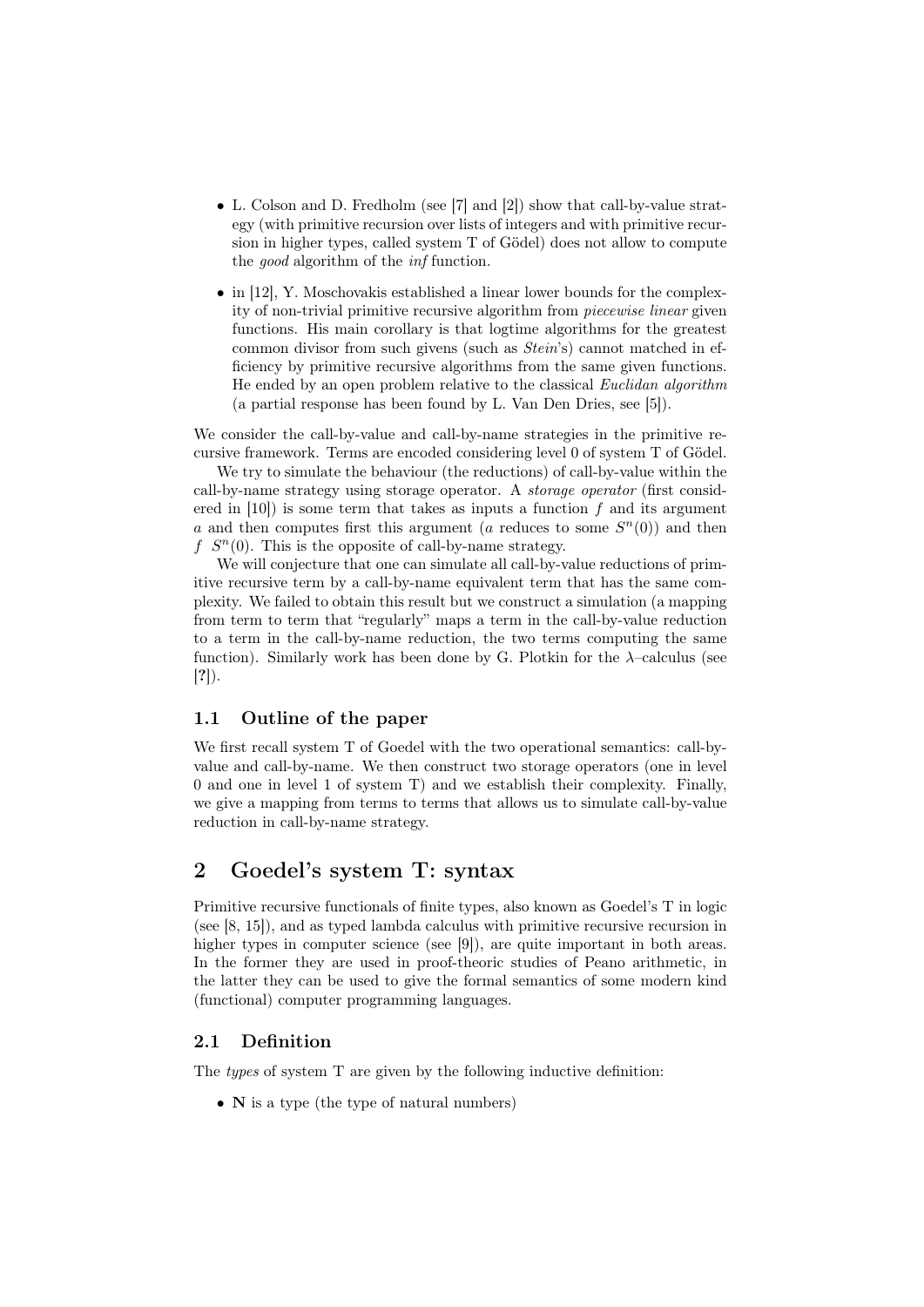- L. Colson and D. Fredholm (see [7] and [2]) show that call-by-value strategy (with primitive recursion over lists of integers and with primitive recursion in higher types, called system T of Gödel) does not allow to compute the good algorithm of the inf function.
- in [12], Y. Moschovakis established a linear lower bounds for the complexity of non-trivial primitive recursive algorithm from piecewise linear given functions. His main corollary is that logtime algorithms for the greatest common divisor from such givens (such as Stein's) cannot matched in efficiency by primitive recursive algorithms from the same given functions. He ended by an open problem relative to the classical Euclidan algorithm (a partial response has been found by L. Van Den Dries, see [5]).

We consider the call-by-value and call-by-name strategies in the primitive recursive framework. Terms are encoded considering level 0 of system T of Gödel.

We try to simulate the behaviour (the reductions) of call-by-value within the call-by-name strategy using storage operator. A storage operator (first considered in  $[10]$  is some term that takes as inputs a function f and its argument a and then computes first this argument (a reduces to some  $S<sup>n</sup>(0)$ ) and then  $f S<sup>n</sup>(0)$ . This is the opposite of call-by-name strategy.

We will conjecture that one can simulate all call-by-value reductions of primitive recursive term by a call-by-name equivalent term that has the same complexity. We failed to obtain this result but we construct a simulation (a mapping from term to term that "regularly" maps a term in the call-by-value reduction to a term in the call-by-name reduction, the two terms computing the same function). Similarly work has been done by G. Plotkin for the  $\lambda$ -calculus (see [?]).

#### 1.1 Outline of the paper

We first recall system T of Goedel with the two operational semantics: call-byvalue and call-by-name. We then construct two storage operators (one in level 0 and one in level 1 of system T) and we establish their complexity. Finally, we give a mapping from terms to terms that allows us to simulate call-by-value reduction in call-by-name strategy.

# 2 Goedel's system T: syntax

Primitive recursive functionals of finite types, also known as Goedel's T in logic (see [8, 15]), and as typed lambda calculus with primitive recursive recursion in higher types in computer science (see [9]), are quite important in both areas. In the former they are used in proof-theoric studies of Peano arithmetic, in the latter they can be used to give the formal semantics of some modern kind (functional) computer programming languages.

#### 2.1 Definition

The *types* of system T are given by the following inductive definition:

• N is a type (the type of natural numbers)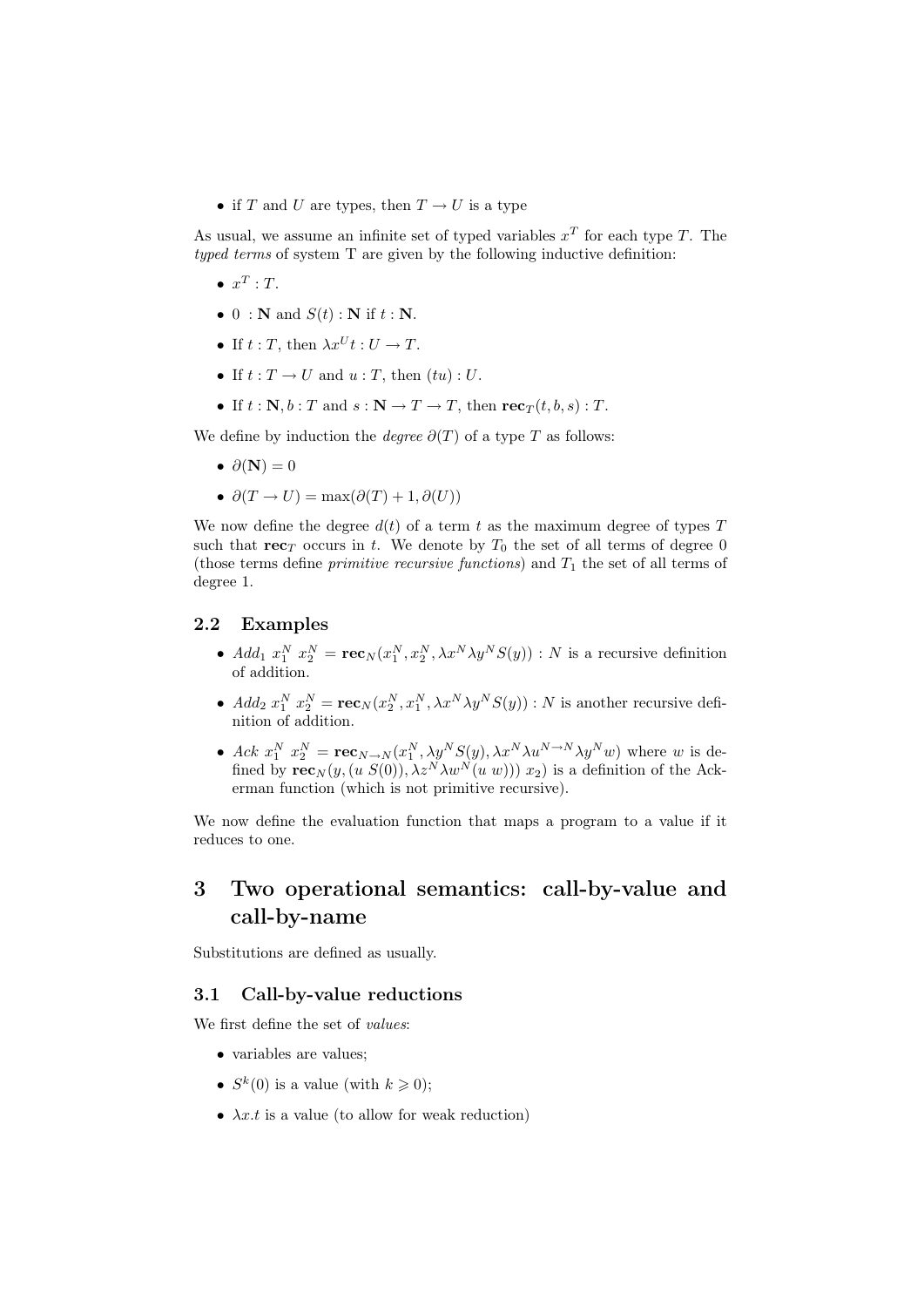• if T and U are types, then  $T \rightarrow U$  is a type

As usual, we assume an infinite set of typed variables  $x^T$  for each type T. The typed terms of system T are given by the following inductive definition:

- $\bullet$   $x^T$  : T.
- 0 : N and  $S(t)$  : N if  $t : N$ .
- If  $t : T$ , then  $\lambda x^U t : U \rightarrow T$ .
- If  $t: T \to U$  and  $u: T$ , then  $(tu): U$ .
- If  $t : \mathbf{N}, b : T$  and  $s : \mathbf{N} \to T \to T$ , then  $\mathbf{rec}_T(t, b, s) : T$ .

We define by induction the *degree*  $\partial(T)$  of a type T as follows:

- $\partial(\mathbf{N})=0$
- $\partial(T \to U) = \max(\partial(T) + 1, \partial(U))$

We now define the degree  $d(t)$  of a term t as the maximum degree of types T such that  $\mathbf{rec}_T$  occurs in t. We denote by  $T_0$  the set of all terms of degree 0 (those terms define *primitive recursive functions*) and  $T_1$  the set of all terms of degree 1.

#### 2.2 Examples

- $Add_1 x_1^N x_2^N = \mathbf{rec}_N(x_1^N, x_2^N, \lambda x^N \lambda y^N S(y)) : N$  is a recursive definition of addition.
- $Add_2 x_1^N x_2^N = \mathbf{rec}_N(x_2^N, x_1^N, \lambda x^N \lambda y^N S(y)) : N$  is another recursive definition of addition.
- Ack  $x_1^N$   $x_2^N = \mathbf{rec}_{N\to N}(x_1^N, \lambda y^N S(y), \lambda x^N \lambda u^{N\to N} \lambda y^N w)$  where w is defined by  $\mathbf{rec}_N(y,(u S(0)),\lambda z^N\lambda w^N(u w)))$  x<sub>2</sub>) is a definition of the Ackerman function (which is not primitive recursive).

We now define the evaluation function that maps a program to a value if it reduces to one.

# 3 Two operational semantics: call-by-value and call-by-name

Substitutions are defined as usually.

#### 3.1 Call-by-value reductions

We first define the set of *values*:

- variables are values;
- $S^k(0)$  is a value (with  $k \geqslant 0$ );
- $\lambda x.t$  is a value (to allow for weak reduction)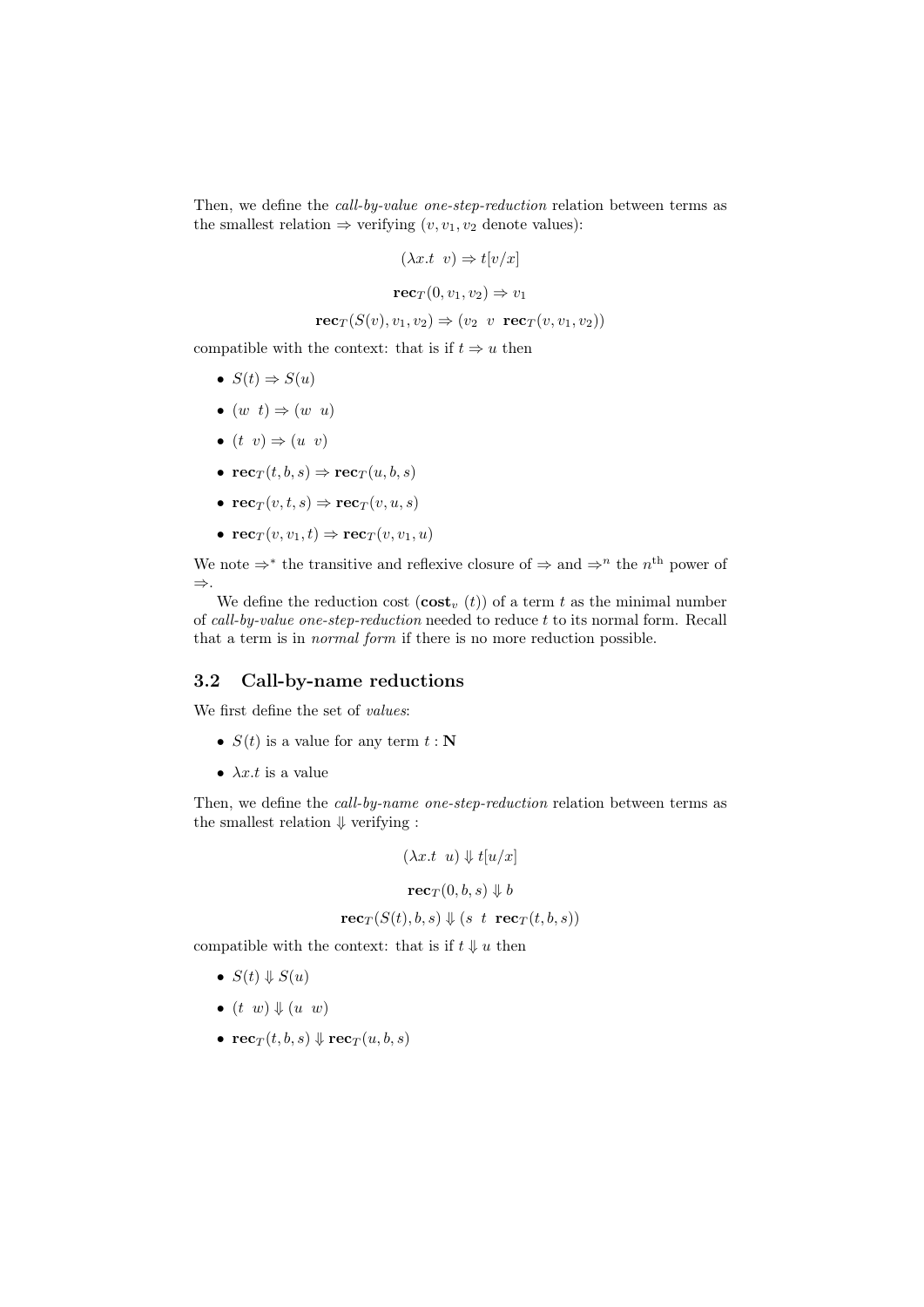Then, we define the call-by-value one-step-reduction relation between terms as the smallest relation  $\Rightarrow$  verifying  $(v, v_1, v_2)$  denote values):

$$
(\lambda x.t \ v) \Rightarrow t[v/x]
$$

$$
\mathbf{rec}_T(0, v_1, v_2) \Rightarrow v_1
$$

$$
\mathbf{rec}_T(S(v), v_1, v_2) \Rightarrow (v_2 \ v \ \mathbf{rec}_T(v, v_1, v_2))
$$

compatible with the context: that is if  $t \Rightarrow u$  then

- $S(t) \Rightarrow S(u)$
- $(w t) \Rightarrow (w u)$
- $(t \, v) \Rightarrow (u \, v)$
- $\mathbf{rec}_T(t, b, s) \Rightarrow \mathbf{rec}_T(u, b, s)$
- $rec_T(v, t, s) \Rightarrow rec_T(v, u, s)$
- $\mathbf{rec}_T(v, v_1, t) \Rightarrow \mathbf{rec}_T(v, v_1, u)$

We note  $\Rightarrow^*$  the transitive and reflexive closure of  $\Rightarrow$  and  $\Rightarrow^n$  the  $n^{\text{th}}$  power of ⇒.

We define the reduction cost  $(\textbf{cost}_{v}(t))$  of a term t as the minimal number of call-by-value one-step-reduction needed to reduce t to its normal form. Recall that a term is in normal form if there is no more reduction possible.

#### 3.2 Call-by-name reductions

We first define the set of values:

- $S(t)$  is a value for any term  $t : \mathbf{N}$
- $\lambda x.t$  is a value

Then, we define the call-by-name one-step-reduction relation between terms as the smallest relation  $\Downarrow$  verifying :

$$
(\lambda x.t \ u) \Downarrow t[u/x]
$$

$$
\mathbf{rec}_T(0,b,s) \Downarrow b
$$

$$
\mathbf{rec}_T(S(t),b,s) \Downarrow (s \ t \ \mathbf{rec}_T(t,b,s))
$$

compatible with the context: that is if  $t \Downarrow u$  then

- $S(t) \Downarrow S(u)$
- $\bullet$   $(t \ w) \Downarrow (u \ w)$
- $\mathbf{rec}_T(t, b, s) \Downarrow \mathbf{rec}_T(u, b, s)$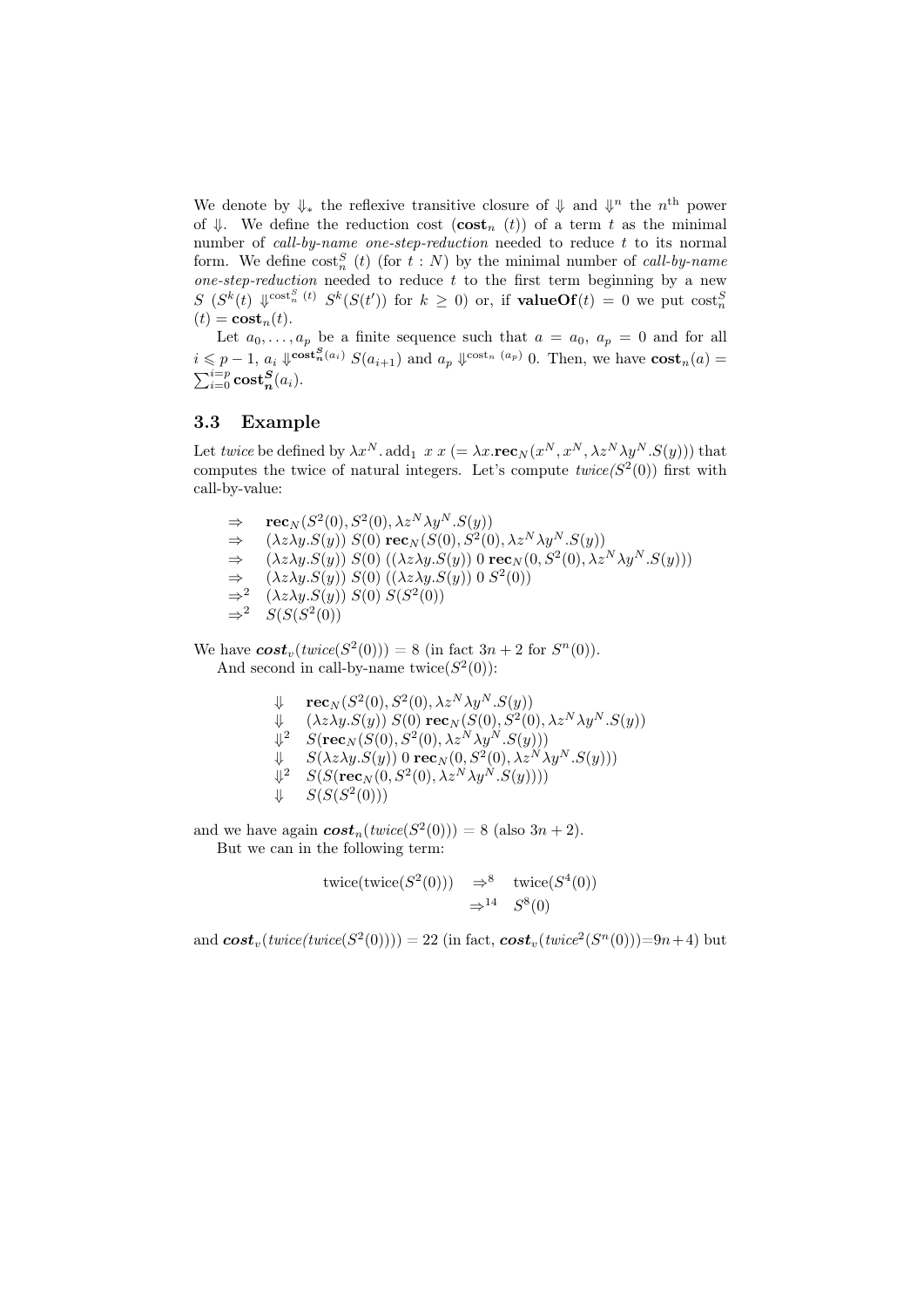We denote by  $\Downarrow_*$  the reflexive transitive closure of  $\Downarrow$  and  $\Downarrow^n$  the  $n^{\text{th}}$  power of  $\Downarrow$ . We define the reduction cost  $(\textbf{cost}_n(t))$  of a term t as the minimal number of *call-by-name one-step-reduction* needed to reduce  $t$  to its normal form. We define  $\text{cost}_n^S$  (t) (for  $t : N$ ) by the minimal number of call-by-name one-step-reduction needed to reduce  $t$  to the first term beginning by a new  $S(S^k(t), \sqrt{\cosh^S_{n}(t)}, S^k(S(t'))$  for  $k \geq 0)$  or, if **valueOf** $(t) = 0$  we put  $\cosh^S_{n}$  $(t) = \mathbf{cost}_n(t).$ 

Let  $a_0, \ldots, a_p$  be a finite sequence such that  $a = a_0, a_p = 0$  and for all  $i \leqslant p-1$ ,  $a_i \Downarrow^{\text{cost}_n(a_i)} S(a_{i+1})$  and  $a_p \Downarrow^{\text{cost}_n(a_p)} 0$ . Then, we have  $\text{cost}_n(a)$  $\sum_{i=0}^{i=p}\mathrm{cost}^{\boldsymbol{S}}_{\boldsymbol{n}}(a_i).$ 

#### 3.3 Example

Let twice be defined by  $\lambda x^N$ . add<sub>1</sub>  $x x (= \lambda x.\mathbf{rec}_N(x^N, x^N, \lambda z^N \lambda y^N.S(y)))$  that computes the twice of natural integers. Let's compute  $twice(S^2(0))$  first with call-by-value:

 $\Rightarrow$  **rec**<sub>N</sub>(S<sup>2</sup>(0), S<sup>2</sup>(0),  $\lambda z^N \lambda y^N.S(y)$ )  $\Rightarrow \quad (\lambda z \lambda y. S(y)) \ S(0) \ \textbf{rec}_N (S(0), S^2(0), \lambda z^N \lambda y^N.S(y))$  $\Rightarrow$   $(\lambda z \lambda y.S(y)) S(0) ((\lambda z \lambda y.S(y)) 0 \operatorname{rec}_N(0, S^2(0), \lambda z^N \lambda y^N.S(y)))$  $\Rightarrow$   $(\lambda z \lambda y.S(y)) S(0) ((\lambda z \lambda y.S(y)) 0 S^2(0))$  $\Rightarrow^2$ <br> $\Rightarrow^2$  $(\lambda z \lambda y.S(y)) S(0) S(S^2(0))$  $\Rightarrow^2$  S(S(S<sup>2</sup>(0))

We have  $\textbf{cost}_v(\textit{twice}(S^2(0))) = 8$  (in fact  $3n + 2$  for  $S^n(0)$ ). And second in call-by-name twice  $(S^2(0))$ :

$$
\begin{array}{ll}\n\Downarrow & \mathbf{rec}_N(S^2(0), S^2(0), \lambda z^N \lambda y^N.S(y)) \\
\Downarrow & (\lambda z \lambda y.S(y)) \ S(0) \ \mathbf{rec}_N(S(0), S^2(0), \lambda z^N \lambda y^N.S(y)) \\
\Downarrow^2 & S(\mathbf{rec}_N(S(0), S^2(0), \lambda z^N \lambda y^N.S(y))) \\
\Downarrow & S(\lambda z \lambda y.S(y)) \ 0 \ \mathbf{rec}_N(0, S^2(0), \lambda z^N \lambda y^N.S(y))) \\
\Downarrow^2 & S(S(\mathbf{rec}_N(0, S^2(0), \lambda z^N \lambda y^N.S(y)))) \\
\Downarrow & S(S(S^2(0)))\n\end{array}
$$

and we have again  $\textbf{cost}_n(\text{twice}(S^2(0))) = 8$  (also  $3n + 2$ ). But we can in the following term:

$$
twice(twice(S^2(0))) \Rightarrow^8 \text{twice}(S^4(0))
$$
  

$$
\Rightarrow^{14} S^8(0)
$$

and  $\boldsymbol{cost}_v(\textit{twice}(\textit{twice}(S^2(0)))) = 22$  (in fact,  $\boldsymbol{cost}_v(\textit{twice}^2(S^n(0)))$ =9n+4) but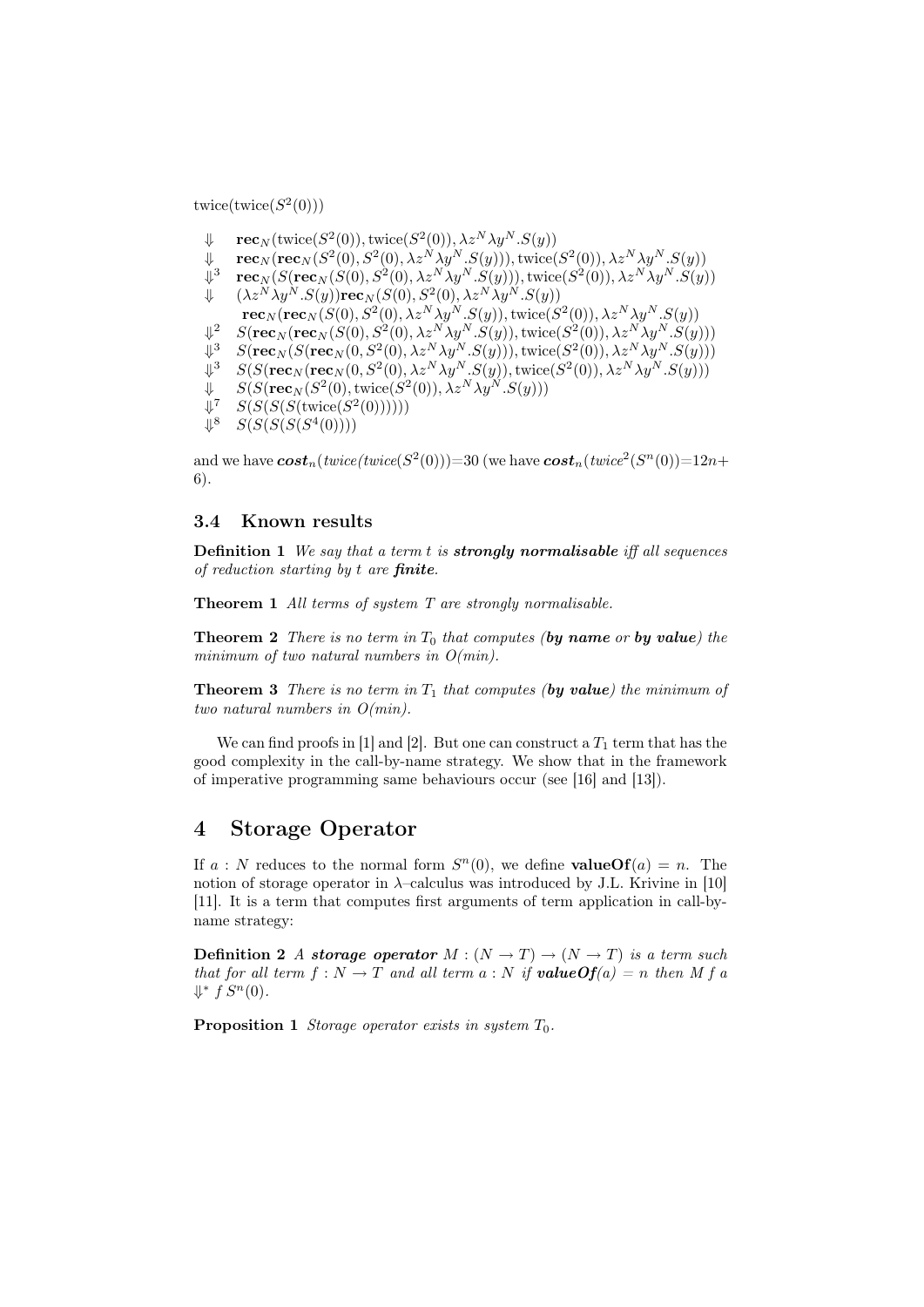twice( $\text{twice}(S^2(0))$ )

- $\Downarrow \quad \mathbf{rec}_N(\text{twice}(S^2(0)),\text{twice}(S^2(0)),\lambda z^N\lambda y^N.S(y))$
- $\Downarrow \quad \mathbf{rec}_N(\mathbf{rec}_N(S^2(0), S^2(0), \lambda z^N\lambda y^N.S(y))), \mathrm{twice}(S^2(0)), \lambda z^N\lambda y^N.S(y))$
- $\Downarrow^3$  $\textbf{rec}_N(S(\textbf{rec}_N(S(0),S^2(0),\lambda z^N\lambda y^N.S(y))),$  twice $(S^2(0)),$   $\lambda z^N\lambda y^N.S(y))$
- $\Downarrow \quad (\lambda z^N \lambda y^N.S(y)) \mathbf{rec}_N (S(0), S^2(0), \lambda z^N \lambda y^N.S(y))$ 
	- $\textbf{rec}_N(\textbf{rec}_N(S(0), S^2(0),\lambda z^N\lambda y^N.S(y)), \text{twice}(S^2(0)),\lambda z^N\lambda y^N.S(y))$
- $\Downarrow^2$  $2^2\quad S(\mathbf{rec}_N(\mathbf{rec}_N(S(0),S^2(0),\lambda z^N\lambda y^N.S(y)),\mathrm{twice}(S^2(0)),\lambda z^N\lambda y^N.S(y)))$
- $\Downarrow^3$  $^3\quad S({\bf rec}_N(S({\bf rec}_N(0, S^2(0),\lambda z^N\lambda y^N.S(y))),$  twice $(S^2(0)),\lambda z^N\lambda y^N.S(y)))$
- $\mathbb{L}^3$  $S^3-S(S(\mathbf{rec}_N(\mathbf{rec}_N(0, S^2(0),\lambda z^N\lambda y^N.S(y)),\mathrm{twice}(S^2(0)),\lambda z^N\lambda y^N.S(y)))$
- $\Downarrow$   $S(S(\mathbf{rec}_N (S^2(0), \text{twice}(S^2(0)), \lambda z^N \lambda y^N.S(y)))$
- $\Downarrow^7$ <sup>7</sup>  $S(S(S({\text{twice}}(S^2(0))))))$
- $\Downarrow^8$ <sup>8</sup>  $S(S(S(S(4(0))))$

and we have  $\pmb{cost}_n(twice(twice(S^2(0))) {=} 30$  (we have  $\pmb{cost}_n(twice^2(S^n(0)) {=} 12n{+}$ 6).

#### 3.4 Known results

**Definition 1** We say that a term t is **strongly normalisable** iff all sequences of reduction starting by  $t$  are finite.

Theorem 1 All terms of system T are strongly normalisable.

**Theorem 2** There is no term in  $T_0$  that computes (by name or by value) the minimum of two natural numbers in  $O(min)$ .

**Theorem 3** There is no term in  $T_1$  that computes (by value) the minimum of two natural numbers in O(min).

We can find proofs in [1] and [2]. But one can construct a  $T_1$  term that has the good complexity in the call-by-name strategy. We show that in the framework of imperative programming same behaviours occur (see [16] and [13]).

### 4 Storage Operator

If  $a: N$  reduces to the normal form  $S<sup>n</sup>(0)$ , we define **valueOf** $(a) = n$ . The notion of storage operator in  $\lambda$ –calculus was introduced by J.L. Krivine in [10] [11]. It is a term that computes first arguments of term application in call-byname strategy:

**Definition 2** A storage operator  $M : (N \to T) \to (N \to T)$  is a term such that for all term  $f : N \to T$  and all term  $a : N$  if **value Of**(a) = n then M f a  $\downarrow^*$   $f S^n(0)$ .

**Proposition 1** Storage operator exists in system  $T_0$ .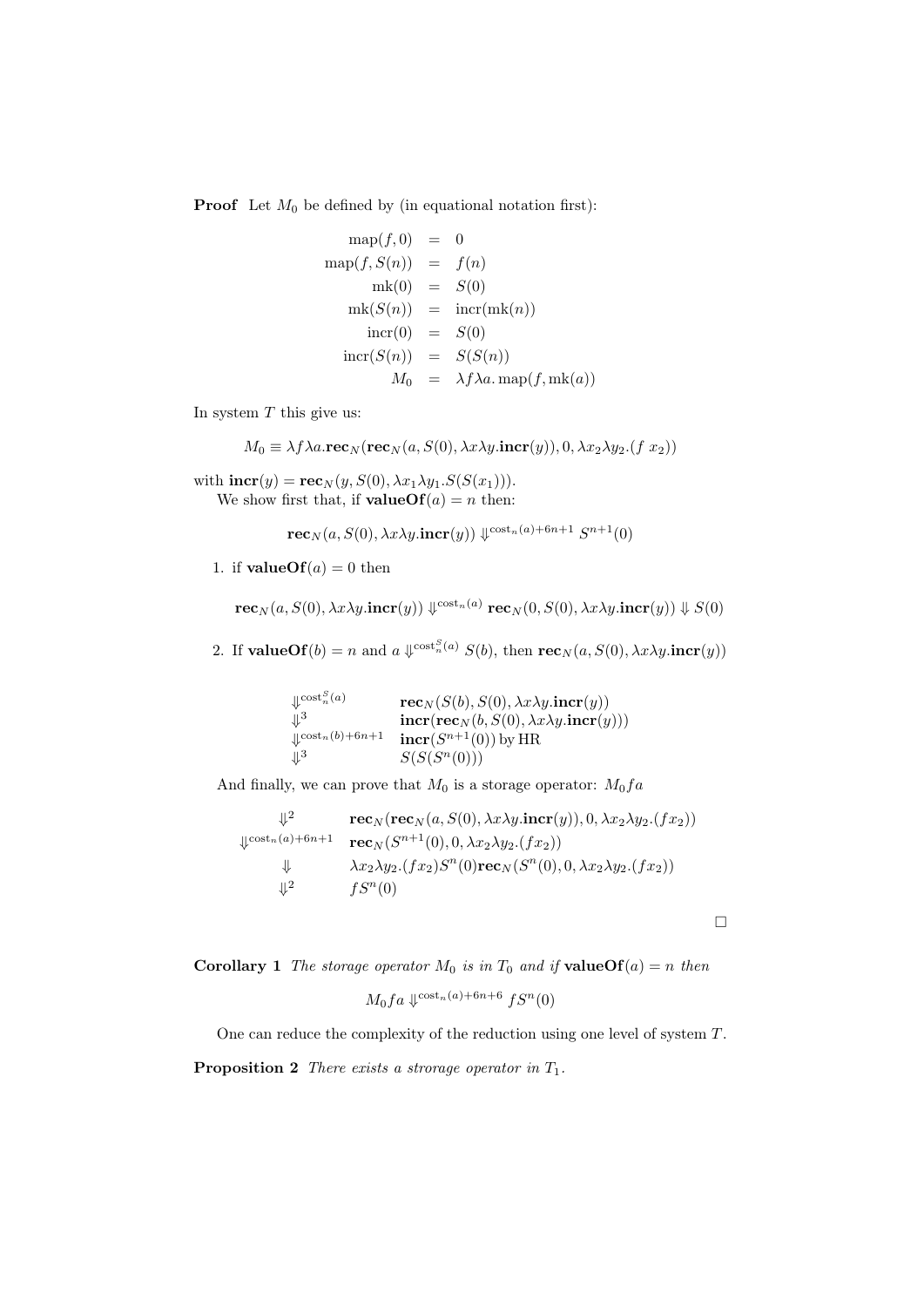**Proof** Let  $M_0$  be defined by (in equational notation first):

$$
\begin{array}{rcl}\n\text{map}(f,0) & = & 0 \\
\text{map}(f, S(n)) & = & f(n) \\
\text{mk}(0) & = & S(0) \\
\text{mk}(S(n)) & = & \text{incr}(\text{mk}(n)) \\
\text{incr}(0) & = & S(0) \\
\text{incr}(S(n)) & = & S(S(n)) \\
M_0 & = & \lambda f \lambda a.\,\text{map}(f, \text{mk}(a))\n\end{array}
$$

In system  $T$  this give us:

$$
M_0 \equiv \lambda f \lambda a \cdot \mathbf{rec}_N(\mathbf{rec}_N(a, S(0), \lambda x \lambda y \cdot \mathbf{incr}(y)), 0, \lambda x_2 \lambda y_2 \cdot (f \cdot x_2))
$$

with  $\mathbf{incr}(y) = \mathbf{rec}_N(y, S(0), \lambda x_1 \lambda y_1.S(S(x_1))).$ We show first that, if **valueOf** $(a) = n$  then:

$$
\mathbf{rec}_N(a, S(0), \lambda x \lambda y.\mathbf{incr}(y)) \Downarrow^{\cosh_n(a) + 6n + 1} S^{n+1}(0)
$$

1. if  $valueOf(a) = 0$  then

 $\textbf{rec}_N(a, S(0), \lambda x \lambda y.\textbf{incr}(y)) \Downarrow^{\text{cost}_n(a)} \textbf{rec}_N(0, S(0), \lambda x \lambda y.\textbf{incr}(y)) \Downarrow S(0)$ 

2. If value Of(b) = n and a  $\psi^{\text{cost}_n^S(a)} S(b)$ , then  $\text{rec}_N(a, S(0), \lambda x \lambda y \cdot \text{incr}(y))$ 

 $\downarrow^{\text{cost}_n^S(a)} \qquad \qquad \textbf{rec}_N(S(b),S(0),\lambda x\lambda y.\textbf{incr}(y))$  $\psi^3$  incr(rec<sub>N</sub>(b, S(0),  $\lambda x \lambda y$ .incr(y)))  $\downarrow^{\text{cost}_n(b)+6n+1}$  incr $(S^{n+1}(0))$  by HR  $\downarrow^3$   $S(S(S^n(0)))$ 

And finally, we can prove that  $M_0$  is a storage operator:  $M_0fa$ 

$$
\psi^2 \n\begin{array}{ll}\n\downarrow^2 & \mathbf{rec}_N(\mathbf{rec}_N(a, S(0), \lambda x \lambda y \cdot \mathbf{incr}(y)), 0, \lambda x_2 \lambda y_2 \cdot (fx_2)) \\
\downarrow^{\text{cost}_n(a) + 6n + 1} & \mathbf{rec}_N(S^{n+1}(0), 0, \lambda x_2 \lambda y_2 \cdot (fx_2)) \\
\downarrow & \lambda x_2 \lambda y_2 \cdot (fx_2) S^n(0) \mathbf{rec}_N(S^n(0), 0, \lambda x_2 \lambda y_2 \cdot (fx_2)) \\
\downarrow^2 & fS^n(0)\n\end{array}
$$

 $\Box$ 

**Corollary 1** The storage operator  $M_0$  is in  $T_0$  and if **valueOf**(a) = n then

$$
M_0 f a \downarrow^{\text{cost}_n(a) + 6n + 6} f S^n(0)
$$

One can reduce the complexity of the reduction using one level of system T.

**Proposition 2** There exists a strorage operator in  $T_1$ .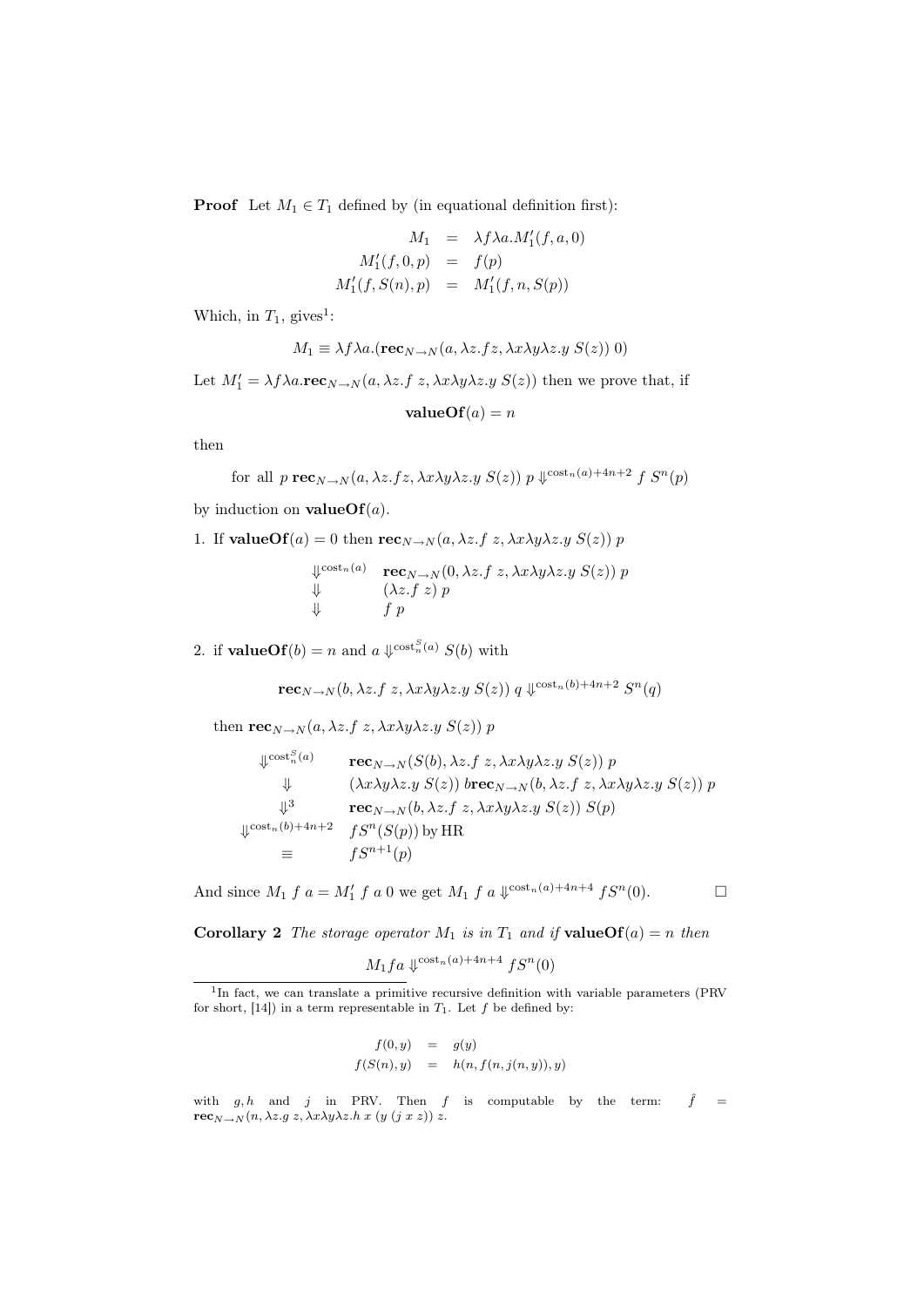**Proof** Let  $M_1 \in T_1$  defined by (in equational definition first):

$$
M_1 = \lambda f \lambda a.M'_1(f, a, 0)
$$
  

$$
M'_1(f, 0, p) = f(p)
$$
  

$$
M'_1(f, S(n), p) = M'_1(f, n, S(p))
$$

Which, in  $T_1$ , gives<sup>1</sup>:

$$
M_1 \equiv \lambda f \lambda a. (\mathbf{rec}_{N \to N}(a, \lambda z.fz, \lambda x \lambda y \lambda z.y S(z)) 0)
$$

Let  $M'_1 = \lambda f \lambda a \cdot \textbf{rec}_{N \to N}(a, \lambda z.f z, \lambda x \lambda y \lambda z.y S(z))$  then we prove that, if

$$
valueOf(a) = n
$$

then

for all 
$$
p \operatorname{rec}_{N \to N}(a, \lambda z.fz, \lambda x \lambda y \lambda z.y S(z)) p \Downarrow^{\cosh_n(a) + 4n + 2} f S^n(p)
$$

by induction on **valueOf** $(a)$ .

1. If valueOf(a) = 0 then  $\operatorname{rec}_{N\to N}(a, \lambda z.f z, \lambda x \lambda y \lambda z.y S(z)) p$ 

 $\downarrow^{\text{cost}_n(a)} \text{rec}_{N \to N}(0, \lambda z.f \ z, \lambda x \lambda y \lambda z.y \ S(z)) \ p$  $\downarrow \qquad (\lambda z.f z) p$  $\downarrow$  f p

2. if **valueOf**(b) = n and  $a \Downarrow^{\text{cost}_n^S(a)} S(b)$  with

 $\mathbf{rec}_{N\rightarrow N}(b,\lambda z.f~z,\lambda x\lambda y\lambda z.y~S(z))~q~\mathcal{\downarrow}^{\text{cost}_n(b)+4n+2}~S^n(q)$ 

then  $\mathbf{rec}_{N\to N}(a, \lambda z.f z, \lambda x \lambda y \lambda z.y S(z)) p$ 

$$
\psi^{\text{cost}_n(a)} \qquad \text{rec}_{N \to N}(S(b), \lambda z.f \ z, \lambda x \lambda y \lambda z.y \ S(z)) \ p \n\downarrow \qquad (\lambda x \lambda y \lambda z.y \ S(z)) \ b \text{rec}_{N \to N}(b, \lambda z.f \ z, \lambda x \lambda y \lambda z.y \ S(z)) \ p \n\downarrow^3 \qquad \text{rec}_{N \to N}(b, \lambda z.f \ z, \lambda x \lambda y \lambda z.y \ S(z)) \ S(p) \n\downarrow^{\text{cost}_n(b) + 4n + 2} \qquad fS^n(S(p)) \text{ by HR} \n\equiv \qquad fS^{n+1}(p)
$$

And since  $M_1 f a = M'_1 f a 0$  we get  $M_1 f a \sqrt{\cosh_n(a) + 4n + 4} f S^n(0)$ .

**Corollary 2** The storage operator  $M_1$  is in  $T_1$  and if **valueOf**(a) = n then

$$
M_1fa \Downarrow^{\cosh_n(a) + 4n + 4} fS^n(0)
$$

$$
f(0, y) = g(y)
$$
  

$$
f(S(n), y) = h(n, f(n, j(n, y)), y)
$$

<sup>&</sup>lt;sup>1</sup>In fact, we can translate a primitive recursive definition with variable parameters (PRV for short,  $[14]$ ) in a term representable in  $T_1$ . Let f be defined by:

with  $g, h$  and j in PRV. Then f is computable by the term:  $\hat{f} =$  $\mathbf{rec}_{N\rightarrow N}(n, \lambda z.g z, \lambda x \lambda y \lambda z.h x (y (j x z)) z.$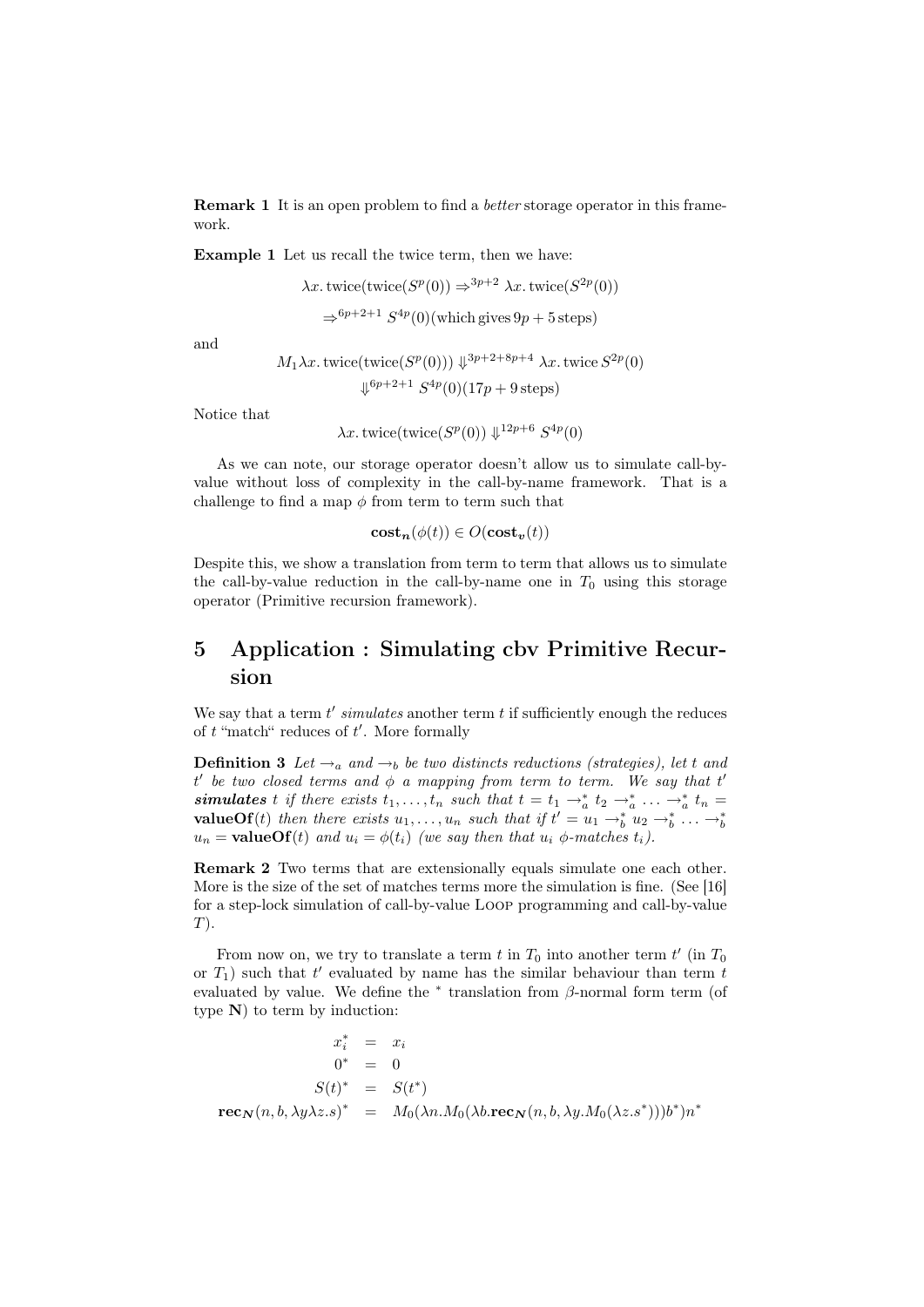Remark 1 It is an open problem to find a better storage operator in this framework.

Example 1 Let us recall the twice term, then we have:

$$
\lambda x. \text{twice}(\text{twice}(S^p(0)) \Rightarrow^{3p+2} \lambda x. \text{twice}(S^{2p}(0))
$$
  

$$
\Rightarrow^{6p+2+1} S^{4p}(0)(\text{which gives } 9p+5 \text{ steps})
$$

and

$$
M_1 \lambda x. \text{twice}(\text{twice}(S^p(0))) \Downarrow^{3p+2+8p+4} \lambda x. \text{twice } S^{2p}(0)
$$

$$
\Downarrow^{6p+2+1} S^{4p}(0) (17p+9 \text{ steps})
$$

Notice that

 $\lambda x.$  twice(twice( $S^{p}(0)$ )  $\downarrow^{12p+6} S^{4p}(0)$ 

As we can note, our storage operator doesn't allow us to simulate call-byvalue without loss of complexity in the call-by-name framework. That is a challenge to find a map  $\phi$  from term to term such that

$$
\mathbf{cost}_{\mathbf{n}}(\phi(t)) \in O(\mathbf{cost}_{\mathbf{v}}(t))
$$

Despite this, we show a translation from term to term that allows us to simulate the call-by-value reduction in the call-by-name one in  $T_0$  using this storage operator (Primitive recursion framework).

# 5 Application : Simulating cbv Primitive Recursion

We say that a term  $t'$  simulates another term  $t$  if sufficiently enough the reduces of  $t$  "match" reduces of  $t'$ . More formally

**Definition 3** Let  $\rightarrow_a$  and  $\rightarrow_b$  be two distincts reductions (strategies), let t and  $t'$  be two closed terms and  $\phi$  a mapping from term to term. We say that  $t'$ **simulates** t if there exists  $t_1, \ldots, t_n$  such that  $t = t_1 \rightarrow_a^* t_2 \rightarrow_a^* \ldots \rightarrow_a^* t_n =$ **valueOf**(*t*) then there exists  $u_1, \ldots, u_n$  such that if  $t' = u_1 \rightarrow_b^* u_2 \rightarrow_b^* \ldots \rightarrow_b^* u_n$  $u_n =$ **valueOf**(t) and  $u_i = \phi(t_i)$  (we say then that  $u_i \phi$ -matches  $t_i$ ).

Remark 2 Two terms that are extensionally equals simulate one each other. More is the size of the set of matches terms more the simulation is fine. (See [16] for a step-lock simulation of call-by-value Loop programming and call-by-value  $T$ ).

From now on, we try to translate a term  $t$  in  $T_0$  into another term  $t'$  (in  $T_0$ or  $T_1$ ) such that  $t'$  evaluated by name has the similar behaviour than term  $t$ evaluated by value. We define the  $*$  translation from  $\beta$ -normal form term (of type  $N$ ) to term by induction:

$$
x_i^* = x_i
$$
  
\n
$$
0^* = 0
$$
  
\n
$$
S(t)^* = S(t^*)
$$
  
\n
$$
\mathbf{rec}_{\mathbf{N}}(n, b, \lambda y \lambda z.s)^* = M_0(\lambda n.M_0(\lambda b.\mathbf{rec}_{\mathbf{N}}(n, b, \lambda y.M_0(\lambda z.s^*)))b^*)n^*
$$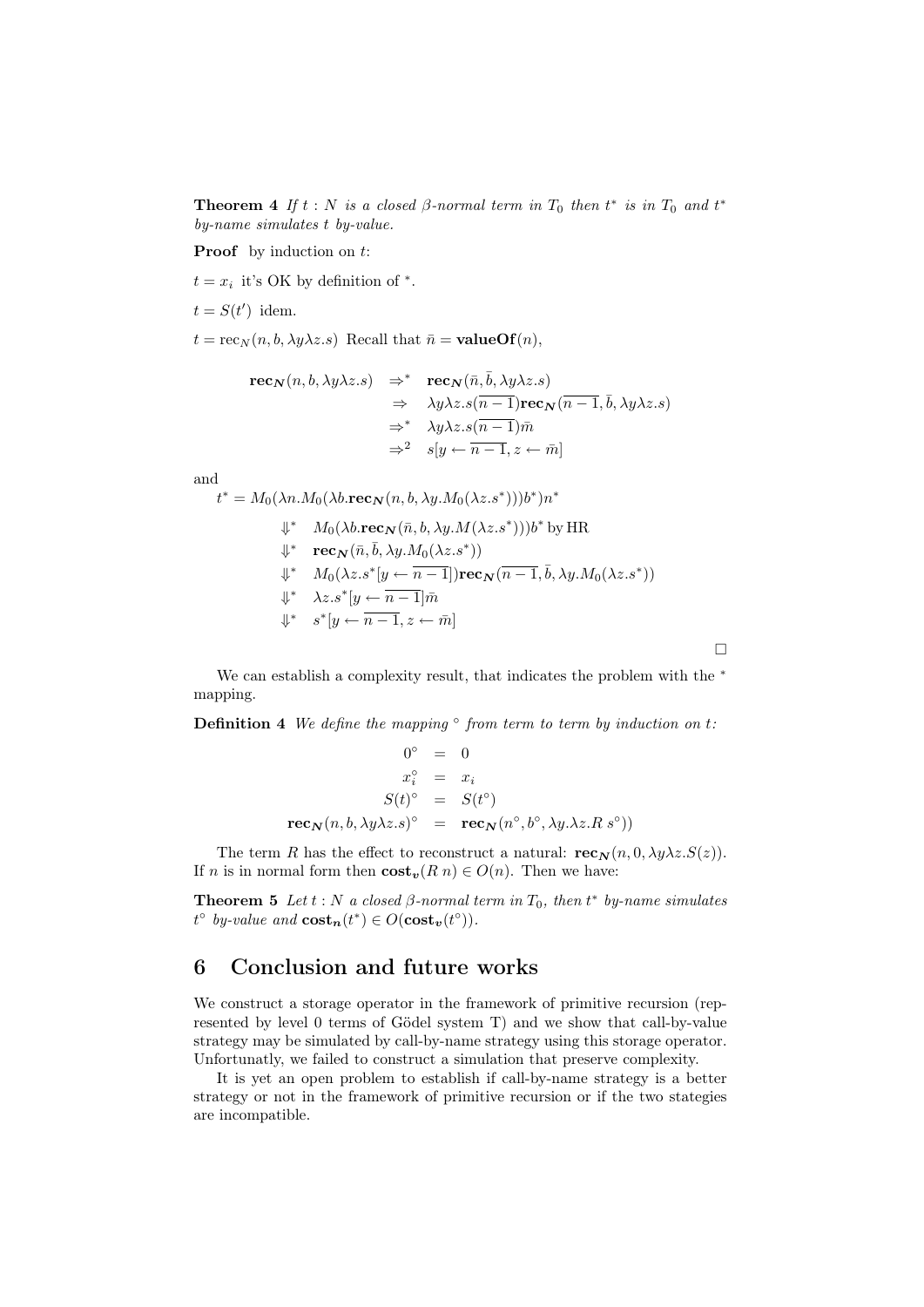**Theorem 4** If  $t : N$  is a closed  $\beta$ -normal term in  $T_0$  then  $t^*$  is in  $T_0$  and  $t^*$ by-name simulates t by-value.

**Proof** by induction on t:

 $t = x_i$  it's OK by definition of  $*$ .

 $t = S(t')$  idem.

 $t = \operatorname{rec}_N(n, b, \lambda y \lambda z.s)$  Recall that  $\bar{n} = \text{valueOf}(n)$ ,

$$
\begin{array}{rcl}\n\mathbf{rec}_{\mathbf{N}}(n,b,\lambda y\lambda z.s) & \Rightarrow^* & \mathbf{rec}_{\mathbf{N}}(\bar{n},\bar{b},\lambda y\lambda z.s) \\
& \Rightarrow & \lambda y\lambda z.s(\overline{n-1})\mathbf{rec}_{\mathbf{N}}(\overline{n-1},\bar{b},\lambda y\lambda z.s) \\
& \Rightarrow^* & \lambda y\lambda z.s(\overline{n-1})\bar{m} \\
& \Rightarrow^2 & s[y \leftarrow \overline{n-1},z \leftarrow \bar{m}]\n\end{array}
$$

and

 $t^* = M_0(\lambda n.M_0(\lambda b.\textbf{rec}_N(n, b, \lambda y.M_0(\lambda z.s^*)))b^*)n^*$  $\Downarrow^*$   $M_0(\lambda b \cdot \mathbf{rec}_N(\bar{n}, b, \lambda y. M(\lambda z.s^*)))b^*$  by HR  $\Downarrow^*$   $\textbf{rec}_{\textbf{N}}(\bar{n},\bar{b},\lambda y.M_0(\lambda z.s^*))$  $\Downarrow^*$   $M_0(\lambda z.s^*[y \leftarrow \overline{n-1}])\mathbf{rec}_{\mathbf{N}}(\overline{n-1}, \overline{b}, \lambda y.M_0(\lambda z.s^*))$  $\Downarrow^* \quad \lambda z . s^* \left[ y \leftarrow \overline{n-1} \right] \overline{m}$  $\Downarrow^*$   $s^*[y \leftarrow \overline{n-1}, z \leftarrow \overline{m}]$ 

We can establish a complexity result, that indicates the problem with the  $*$ mapping.

 $\Box$ 

**Definition 4** We define the mapping  $\degree$  from term to term by induction on t.

$$
0^{\circ} = 0
$$
  
\n
$$
x_i^{\circ} = x_i
$$
  
\n
$$
S(t)^{\circ} = S(t^{\circ})
$$
  
\n
$$
\mathbf{rec}_{\mathbf{N}}(n, b, \lambda y \lambda z.s)^{\circ} = \mathbf{rec}_{\mathbf{N}}(n^{\circ}, b^{\circ}, \lambda y.\lambda z.R.s^{\circ}))
$$

The term R has the effect to reconstruct a natural:  $\mathbf{rec}_{\mathbf{N}}(n, 0, \lambda y \lambda z.S(z)).$ If *n* is in normal form then  $\textbf{cost}_v(R n) \in O(n)$ . Then we have:

**Theorem 5** Let  $t : N$  a closed  $\beta$ -normal term in  $T_0$ , then  $t^*$  by-name simulates  $t^{\circ}$  by-value and  $\textbf{cost}_n(t^*) \in O(\textbf{cost}_v(t^{\circ})).$ 

### 6 Conclusion and future works

We construct a storage operator in the framework of primitive recursion (represented by level 0 terms of Gödel system T) and we show that call-by-value strategy may be simulated by call-by-name strategy using this storage operator. Unfortunatly, we failed to construct a simulation that preserve complexity.

It is yet an open problem to establish if call-by-name strategy is a better strategy or not in the framework of primitive recursion or if the two stategies are incompatible.